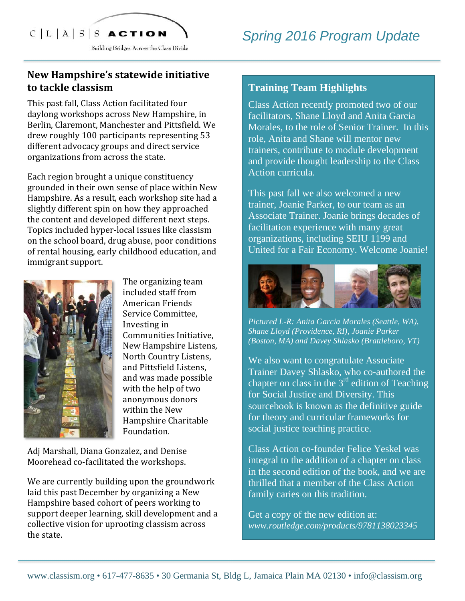# $C|L|A|S|S$  ACTION

Building Bridges Across the Class Divide

## New Hampshire's statewide initiative **to tackle classism**

This past fall, Class Action facilitated four daylong workshops across New Hampshire, in Berlin, Claremont, Manchester and Pittsfield. We drew roughly 100 participants representing 53 different advocacy groups and direct service organizations from across the state.

Each region brought a unique constituency grounded in their own sense of place within New Hampshire. As a result, each workshop site had a slightly different spin on how they approached the content and developed different next steps. Topics included hyper-local issues like classism on the school board, drug abuse, poor conditions of rental housing, early childhood education, and immigrant support.



The organizing team included staff from American Friends Service Committee. Investing in Communities Initiative, New Hampshire Listens, North Country Listens, and Pittsfield Listens, and was made possible with the help of two anonymous donors within the New Hampshire Charitable Foundation.

Adj Marshall, Diana Gonzalez, and Denise Moorehead co-facilitated the workshops.

We are currently building upon the groundwork laid this past December by organizing a New Hampshire based cohort of peers working to support deeper learning, skill development and a collective vision for uprooting classism across the state.

#### **Training Team Highlights**

Class Action recently promoted two of our facilitators, Shane Lloyd and Anita Garcia Morales, to the role of Senior Trainer. In this role, Anita and Shane will mentor new trainers, contribute to module development and provide thought leadership to the Class Action curricula.

This past fall we also welcomed a new trainer, Joanie Parker, to our team as an Associate Trainer. Joanie brings decades of facilitation experience with many great organizations, including SEIU 1199 and United for a Fair Economy. Welcome Joanie!



*Pictured L-R: Anita Garcia Morales (Seattle, WA), Shane Lloyd (Providence, RI), Joanie Parker (Boston, MA) and Davey Shlasko (Brattleboro, VT)*

We also want to congratulate Associate Trainer Davey Shlasko, who co-authored the chapter on class in the  $3<sup>rd</sup>$  edition of Teaching for Social Justice and Diversity. This sourcebook is known as the definitive guide for theory and curricular frameworks for social justice teaching practice.

Class Action co-founder Felice Yeskel was integral to the addition of a chapter on class in the second edition of the book, and we are thrilled that a member of the Class Action family caries on this tradition.

Get a copy of the new edition at: *www.routledge.com/products/9781138023345*